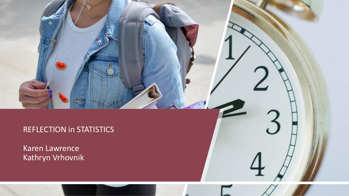# REFLECTION in STATISTICS

1

Karen Lawrence Kathryn Vrhovnik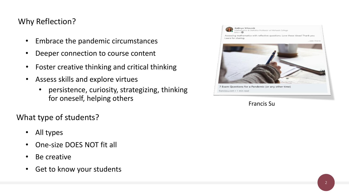## Why Reflection?

- Embrace the pandemic circumstances
- Deeper connection to course content
- Foster creative thinking and critical thinking
- Assess skills and explore virtues
	- persistence, curiosity, strategizing, thinking for oneself, helping others

What type of students?

- All types
- One-size DOES NOT fit all
- Be creative
- Get to know your students



#### Francis Su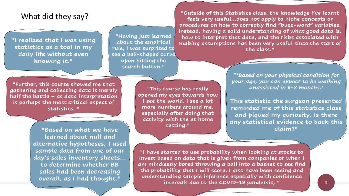### What did they say?

**"I realized that I was using statistics as a tool in my daily life without even knowing it."**

**"Having just learned about the empirical rule, I was surprised to see a bell-shaped curve upon hitting the search button."**

**"Further, this course showed me that gathering and collecting data is merely half the battle – as data interpretation is perhaps the most critical aspect of statistics. "**

> **"Based on what we have learned about null and alternative hypotheses, I used sample data from one of our day's sales inventory sheets... to determine whether BB sales had been decreasing overall, as I had thought."**

**"This course has really opened my eyes towards how I see the world. I see a lot more numbers around me, especially after doing that activity with the at home testing."**

**"Outside of this Statistics class, the knowledge I've learnt feels very useful...does not apply to niche concepts or procedures on how to correctly find "buzz-word" variables. Instead, having a solid understanding of what good data is, how to interpret that data, and the risks associated with making assumptions has been very useful since the start of the class."**

> **"***'Based on your physical condition for your age, you can expect to be walking unassisted in 6-8 months.'*

**This statistic the surgeon presented reminded me of this statistics class and piqued my curiosity. Is there any statistical evidence to back this claim?"**

**"I have started to use probability when looking at stocks to invest based on data that is given from companies or when I am mindlessly bored throwing a ball into a basket to see find the probability that I will score. I also have been seeing and understanding sample inference especially with confidence intervals due to the COVID-19 pandemic, "**